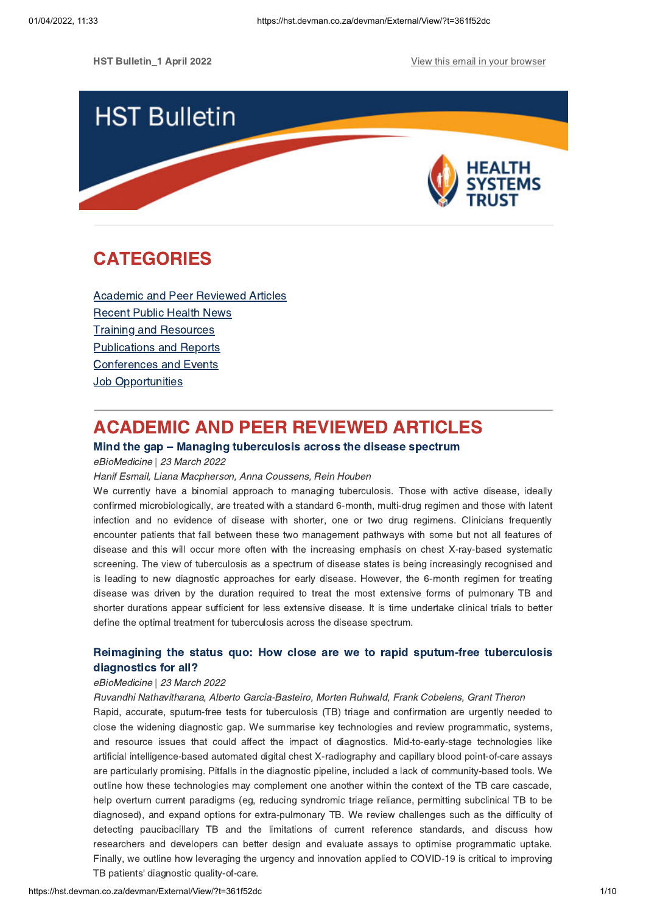**HST Bulletin 1 April 2022** View this email in your [browser](https://hst.devman.co.za/devman/external/?t=34d61f47&t1=361f52dc)



# <span id="page-0-1"></span>CATEGORIES

Academic and Peer [Reviewed](#page-0-0) Articles [Recent](#page-2-0) Public Health News Training and Resources [Publications](#page-7-0) and Reports [Conferences](#page-8-0) and Events **Job [Opportunities](#page-8-1)** 

# <span id="page-0-0"></span>ACADEMIC AND PEER REVIEWED ARTICLES

# Mind the gap – Managing [tuberculosis](https://hst.devman.co.za/devman/external/?t=e26ab2ea) across the disease spectrum

eBioMedicine | 23 March 2022

#### Hanif Esmail, Liana Macpherson, Anna Coussens, Rein Houben

We currently have a binomial approach to managing tuberculosis. Those with active disease, ideally confirmed microbiologically, are treated with a standard 6-month, multi-drug regimen and those with latent infection and no evidence of disease with shorter, one or two drug regimens. Clinicians frequently encounter patients that fall between these two management pathways with some but not all features of disease and this will occur more often with the increasing emphasis on chest X-ray-based systematic screening. The view of tuberculosis as a spectrum of disease states is being increasingly recognised and is leading to new diagnostic approaches for early disease. However, the 6-month regimen for treating disease was driven by the duration required to treat the most extensive forms of pulmonary TB and shorter durations appear sufficient for less extensive disease. It is time undertake clinical trials to better define the optimal treatment for tuberculosis across the disease spectrum.

# Reimagining the status quo: How close are we to rapid sputum-free tuberculosis [diagnostics](https://hst.devman.co.za/devman/external/?t=554b6ecb) for all?

## eBioMedicine | 23 March 2022

Ruvandhi Nathavitharana, Alberto Garcia-Basteiro, Morten Ruhwald, Frank Cobelens, Grant Theron

Rapid, accurate, sputum-free tests for tuberculosis (TB) triage and confirmation are urgently needed to close the widening diagnostic gap. We summarise key technologies and review programmatic, systems, and resource issues that could affect the impact of diagnostics. Mid-to-early-stage technologies like artificial intelligence-based automated digital chest X-radiography and capillary blood point-of-care assays are particularly promising. Pitfalls in the diagnostic pipeline, included a lack of community-based tools. We outline how these technologies may complement one another within the context of the TB care cascade, help overturn current paradigms (eg, reducing syndromic triage reliance, permitting subclinical TB to be diagnosed), and expand options for extra-pulmonary TB. We review challenges such as the difficulty of detecting paucibacillary TB and the limitations of current reference standards, and discuss how researchers and developers can better design and evaluate assays to optimise programmatic uptake. Finally, we outline how leveraging the urgency and innovation applied to COVID-19 is critical to improving TB patients' diagnostic quality-of-care.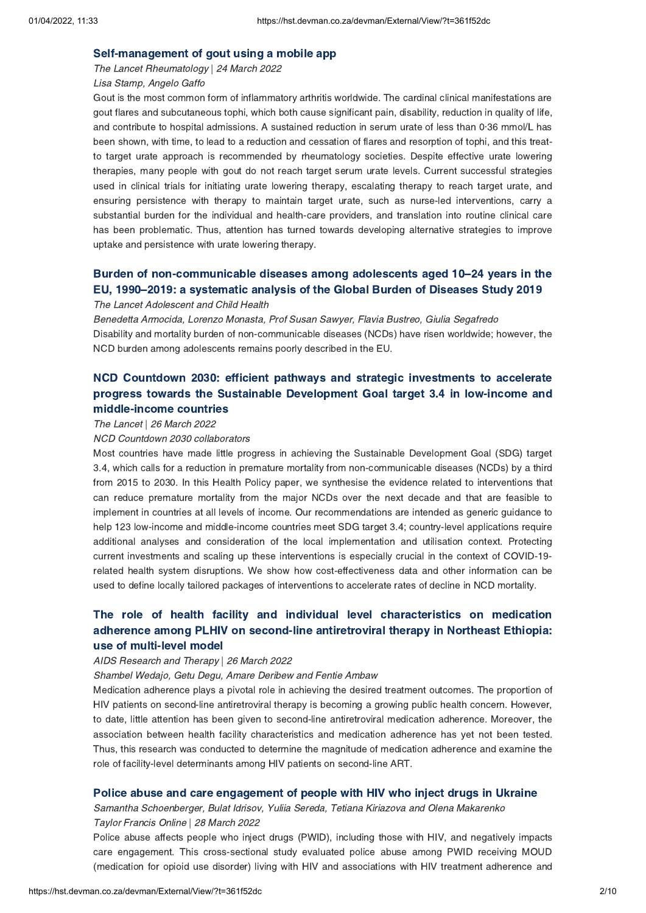## [Self-management](https://hst.devman.co.za/devman/external/?t=51055dac) of gout using a mobile app

The Lancet Rheumatology | 24 March 2022

## Lisa Stamp, Angelo Gaffo

Gout is the most common form of inflammatory arthritis worldwide. The cardinal clinical manifestations are gout flares and subcutaneous tophi, which both cause significant pain, disability, reduction in quality of life, and contribute to hospital admissions. A sustained reduction in serum urate of less than 0·36 mmol/L has been shown, with time, to lead to a reduction and cessation of flares and resorption of tophi, and this treatto target urate approach is recommended by rheumatology societies. Despite effective urate lowering therapies, many people with gout do not reach target serum urate levels. Current successful strategies used in clinical trials for initiating urate lowering therapy, escalating therapy to reach target urate, and ensuring persistence with therapy to maintain target urate, such as nurse-led interventions, carry a substantial burden for the individual and health-care providers, and translation into routine clinical care has been problematic. Thus, attention has turned towards developing alternative strategies to improve uptake and persistence with urate lowering therapy.

# Burden of [non-communicable](https://hst.devman.co.za/devman/external/?t=c3e6188d) diseases among adolescents aged 10–24 years in the EU, 1990–2019: a systematic analysis of the Global Burden of Diseases Study 2019

## The Lancet Adolescent and Child Health

Benedetta Armocida, Lorenzo Monasta, Prof Susan Sawyer, Flavia Bustreo, Giulia Segafredo Disability and mortality burden of non-communicable diseases (NCDs) have risen worldwide; however, the NCD burden among adolescents remains poorly described in the EU.

# NCD Countdown 2030: efficient pathways and strategic investments to accelerate progress towards the Sustainable Development Goal target 3.4 in low-income and [middle-income](https://hst.devman.co.za/devman/external/?t=68557e5e) countries

#### The Lancet | 26 March 2022

#### NCD Countdown 2030 collaborators

Most countries have made little progress in achieving the Sustainable Development Goal (SDG) target 3.4, which calls for a reduction in premature mortality from non-communicable diseases (NCDs) by a third from 2015 to 2030. In this Health Policy paper, we synthesise the evidence related to interventions that can reduce premature mortality from the major NCDs over the next decade and that are feasible to implement in countries at all levels of income. Our recommendations are intended as generic guidance to help 123 low-income and middle-income countries meet SDG target 3.4; country-level applications require additional analyses and consideration of the local implementation and utilisation context. Protecting current investments and scaling up these interventions is especially crucial in the context of COVID-19 related health system disruptions. We show how cost-effectiveness data and other information can be used to define locally tailored packages of interventions to accelerate rates of decline in NCD mortality.

# The role of health facility and individual level [characteristics](https://hst.devman.co.za/devman/external/?t=db363a3f) on medication adherence among PLHIV on second-line antiretroviral therapy in Northeast Ethiopia: use of multi-level model

#### AIDS Research and Therapy | 26 March 2022

#### Shambel Wedajo, Getu Degu, Amare Deribew and Fentie Ambaw

Medication adherence plays a pivotal role in achieving the desired treatment outcomes. The proportion of HIV patients on second-line antiretroviral therapy is becoming a growing public health concern. However, to date, little attention has been given to second-line antiretroviral medication adherence. Moreover, the association between health facility characteristics and medication adherence has yet not been tested. Thus, this research was conducted to determine the magnitude of medication adherence and examine the role of facility-level determinants among HIV patients on second-line ART.

#### Police abuse and care [engagement](https://hst.devman.co.za/devman/external/?t=e4b8e4eb) of people with HIV who inject drugs in Ukraine

Samantha Schoenberger, Bulat Idrisov, Yuliia Sereda, Tetiana Kiriazova and Olena Makarenko Taylor Francis Online | 28 March 2022

Police abuse affects people who inject drugs (PWID), including those with HIV, and negatively impacts care engagement. This cross-sectional study evaluated police abuse among PWID receiving MOUD (medication for opioid use disorder) living with HIV and associations with HIV treatment adherence and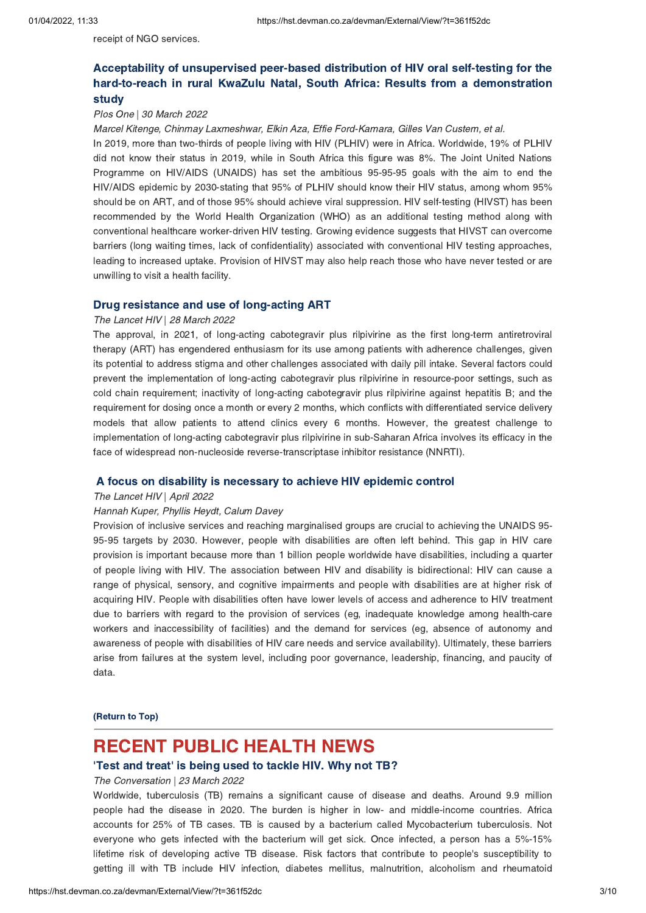receipt of NGO services.

# Acceptability of unsupervised peer-based distribution of HIV oral self-testing for the hard-to-reach in rural KwaZulu Natal, South Africa: Results from a [demonstration](https://hst.devman.co.za/devman/external/?t=5799a0cc) study

#### Plos One | 30 March 2022

Marcel Kitenge, Chinmay Laxmeshwar, Elkin Aza, Effie Ford-Kamara, Gilles Van Custem, et al.

In 2019, more than two-thirds of people living with HIV (PLHIV) were in Africa. Worldwide, 19% of PLHIV did not know their status in 2019, while in South Africa this figure was 8%. The Joint United Nations Programme on HIV/AIDS (UNAIDS) has set the ambitious 95-95-95 goals with the aim to end the HIV/AIDS epidemic by 2030-stating that 95% of PLHIV should know their HIV status, among whom 95% should be on ART, and of those 95% should achieve viral suppression. HIV self-testing (HIVST) has been recommended by the World Health Organization (WHO) as an additional testing method along with conventional healthcare worker-driven HIV testing. Growing evidence suggests that HIVST can overcome barriers (long waiting times, lack of confidentiality) associated with conventional HIV testing approaches, leading to increased uptake. Provision of HIVST may also help reach those who have never tested or are unwilling to visit a health facility.

### Drug resistance and use of [long-acting](https://hst.devman.co.za/devman/external/?t=53538fad) ART

#### The Lancet HIV | 28 March 2022

The approval, in 2021, of long-acting cabotegravir plus rilpivirine as the first long-term antiretroviral therapy (ART) has engendered enthusiasm for its use among patients with adherence challenges, given its potential to address stigma and other challenges associated with daily pill intake. Several factors could prevent the implementation of long-acting cabotegravir plus rilpivirine in resource-poor settings, such as cold chain requirement; inactivity of long-acting cabotegravir plus rilpivirine against hepatitis B; and the requirement for dosing once a month or every 2 months, which conflicts with differentiated service delivery models that allow patients to attend clinics every 6 months. However, the greatest challenge to implementation of long-acting cabotegravir plus rilpivirine in sub-Saharan Africa involves its efficacy in the face of widespread non-nucleoside reverse-transcriptase inhibitor resistance (NNRTI).

### A focus on disability is [necessary](https://hst.devman.co.za/devman/external/?t=c6344a8e) to achieve HIV epidemic control

#### The Lancet HIV | April 2022

#### Hannah Kuper, Phyllis Heydt, Calum Davey

Provision of inclusive services and reaching marginalised groups are crucial to achieving the UNAIDS 95- 95-95 targets by 2030. However, people with disabilities are often left behind. This gap in HIV care provision is important because more than 1 billion people worldwide have disabilities, including a quarter of people living with HIV. The association between HIV and disability is bidirectional: HIV can cause a range of physical, sensory, and cognitive impairments and people with disabilities are at higher risk of acquiring HIV. People with disabilities often have lower levels of access and adherence to HIV treatment due to barriers with regard to the provision of services (eg, inadequate knowledge among health-care workers and inaccessibility of facilities) and the demand for services (eg, absence of autonomy and awareness of people with disabilities of HIV care needs and service availability). Ultimately, these barriers arise from failures at the system level, including poor governance, leadership, financing, and paucity of data.

[\(Return](#page-0-1) to Top)

# <span id="page-2-0"></span>RECENT PUBLIC HEALTH NEWS

# 'Test and treat' is being used to [tackle](https://hst.devman.co.za/devman/external/?t=52e346f) HIV. Why not TB?

#### The Conversation | 23 March 2022

Worldwide, tuberculosis (TB) remains a significant cause of disease and deaths. Around 9.9 million people had the disease in 2020. The burden is higher in low- and middle-income countries. Africa accounts for 25% of TB cases. TB is caused by a bacterium called Mycobacterium tuberculosis. Not everyone who gets infected with the bacterium will get sick. Once infected, a person has a 5%-15% lifetime risk of developing active TB disease. Risk factors that contribute to people's susceptibility to getting ill with TB include HIV infection, diabetes mellitus, malnutrition, alcoholism and rheumatoid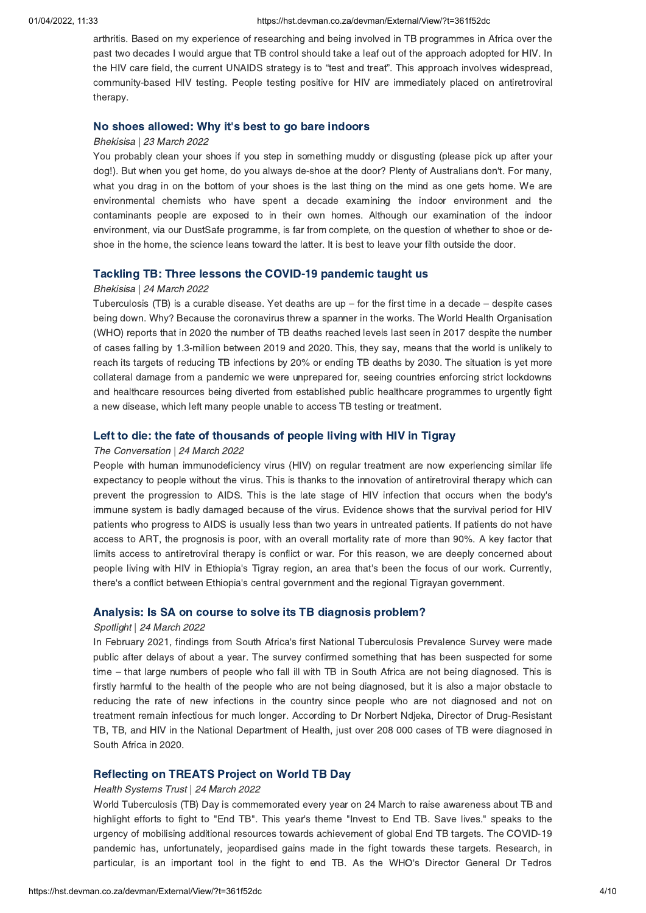arthritis. Based on my experience of researching and being involved in TB programmes in Africa over the past two decades I would argue that TB control should take a leaf out of the approach adopted for HIV. In the HIV care field, the current UNAIDS strategy is to "test and treat". This approach involves widespread, community-based HIV testing. People testing positive for HIV are immediately placed on antiretroviral therapy.

### No shoes [allowed:](https://hst.devman.co.za/devman/external/?t=780ef050) Why it's best to go bare indoors

#### Bhekisisa | 23 March 2022

You probably clean your shoes if you step in something muddy or disgusting (please pick up after your dog!). But when you get home, do you always de-shoe at the door? Plenty of Australians don't. For many, what you drag in on the bottom of your shoes is the last thing on the mind as one gets home. We are environmental chemists who have spent a decade examining the indoor environment and the contaminants people are exposed to in their own homes. Although our examination of the indoor environment, via our DustSafe programme, is far from complete, on the question of whether to shoe or deshoe in the home, the science leans toward the latter. It is best to leave your filth outside the door.

#### Tackling TB: Three lessons the COVID-19 [pandemic](https://hst.devman.co.za/devman/external/?t=73c8df31) taught us

#### Bhekisisa | 24 March 2022

Tuberculosis (TB) is a curable disease. Yet deaths are up – for the first time in a decade – despite cases being down. Why? Because the coronavirus threw a spanner in the works. The World Health Organisation (WHO) reports that in 2020 the number of TB deaths reached levels last seen in 2017 despite the number of cases falling by 1.3-million between 2019 and 2020. This, they say, means that the world is unlikely to reach its targets of reducing TB infections by 20% or ending TB deaths by 2030. The situation is yet more collateral damage from a pandemic we were unprepared for, seeing countries enforcing strict lockdowns and healthcare resources being diverted from established public healthcare programmes to urgently fight a new disease, which left many people unable to access TB testing or treatment.

#### Left to die: the fate of [thousands](https://hst.devman.co.za/devman/external/?t=e6a99a12) of people living with HIV in Tigray

#### The Conversation | 24 March 2022

People with human immunodeficiency virus (HIV) on regular treatment are now experiencing similar life expectancy to people without the virus. This is thanks to the innovation of antiretroviral therapy which can prevent the progression to AIDS. This is the late stage of HIV infection that occurs when the body's immune system is badly damaged because of the virus. Evidence shows that the survival period for HIV patients who progress to AIDS is usually less than two years in untreated patients. If patients do not have access to ART, the prognosis is poor, with an overall mortality rate of more than 90%. A key factor that limits access to antiretroviral therapy is conflict or war. For this reason, we are deeply concerned about people living with HIV in Ethiopia's Tigray region, an area that's been the focus of our work. Currently, there's a conflict between Ethiopia's central government and the regional Tigrayan government.

## Analysis: Is SA on course to solve its TB [diagnosis](https://hst.devman.co.za/devman/external/?t=8b18ffe3) problem?

#### Spotlight | 24 March 2022

In February 2021, findings from South Africa's first National Tuberculosis Prevalence Survey were made public after delays of about a year. The survey confirmed something that has been suspected for some time – that large numbers of people who fall ill with TB in South Africa are not being diagnosed. This is firstly harmful to the health of the people who are not being diagnosed, but it is also a major obstacle to reducing the rate of new infections in the country since people who are not diagnosed and not on treatment remain infectious for much longer. According to Dr Norbert Ndjeka, Director of Drug-Resistant TB, TB, and HIV in the National Department of Health, just over 208 000 cases of TB were diagnosed in South Africa in 2020.

## [Reflecting](https://hst.devman.co.za/devman/external/?t=fdf9bbc4) on TREATS Project on World TB Day

#### Health Systems Trust | 24 March 2022

World Tuberculosis (TB) Day is commemorated every year on 24 March to raise awareness about TB and highlight efforts to fight to "End TB". This year's theme "Invest to End TB. Save lives." speaks to the urgency of mobilising additional resources towards achievement of global End TB targets. The COVID-19 pandemic has, unfortunately, jeopardised gains made in the fight towards these targets. Research, in particular, is an important tool in the fight to end TB. As the WHO's Director General Dr Tedros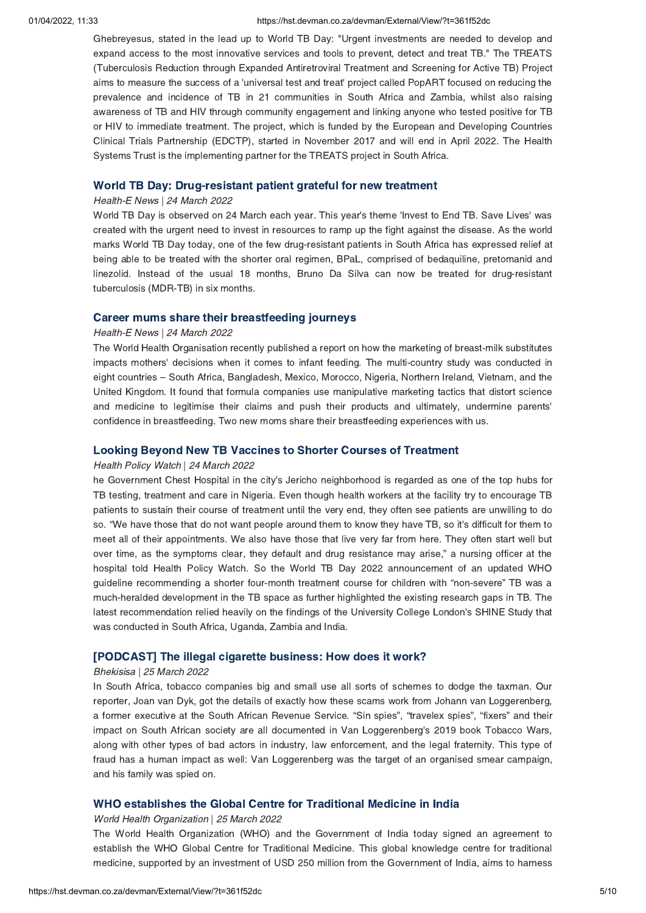#### 01/04/2022, 11:33 https://hst.devman.co.za/devman/External/View/?t=361f52dc

Ghebreyesus, stated in the lead up to World TB Day: "Urgent investments are needed to develop and expand access to the most innovative services and tools to prevent, detect and treat TB." The TREATS (Tuberculosis Reduction through Expanded Antiretroviral Treatment and Screening for Active TB) Project aims to measure the success of a 'universal test and treat' project called PopART focused on reducing the prevalence and incidence of TB in 21 communities in South Africa and Zambia, whilst also raising awareness of TB and HIV through community engagement and linking anyone who tested positive for TB or HIV to immediate treatment. The project, which is funded by the European and Developing Countries Clinical Trials Partnership (EDCTP), started in November 2017 and will end in April 2022. The Health Systems Trust is the implementing partner for the TREATS project in South Africa.

### World TB Day: [Drug-resistant](https://hst.devman.co.za/devman/external/?t=abc988c8) patient grateful for new treatment

#### Health-E News | 24 March 2022

World TB Day is observed on 24 March each year. This year's theme 'Invest to End TB. Save Lives' was created with the urgent need to invest in resources to ramp up the fight against the disease. As the world marks World TB Day today, one of the few drug-resistant patients in South Africa has expressed relief at being able to be treated with the shorter oral regimen, BPaL, comprised of bedaquiline, pretomanid and linezolid. Instead of the usual 18 months, Bruno Da Silva can now be treated for drug-resistant tuberculosis (MDR-TB) in six months.

## Career mums share their [breastfeeding](https://hst.devman.co.za/devman/external/?t=1eaa44a9) journeys

#### Health-E News | 24 March 2022

The World Health Organisation recently published a report on how the marketing of breast-milk substitutes impacts mothers' decisions when it comes to infant feeding. The multi-country study was conducted in eight countries – South Africa, Bangladesh, Mexico, Morocco, Nigeria, Northern Ireland, Vietnam, and the United Kingdom. It found that formula companies use manipulative marketing tactics that distort science and medicine to legitimise their claims and push their products and ultimately, undermine parents' confidence in breastfeeding. Two new moms share their breastfeeding experiences with us.

#### Looking Beyond New TB Vaccines to Shorter Courses of [Treatment](https://hst.devman.co.za/devman/external/?t=1a64338a)

#### Health Policy Watch | 24 March 2022

he Government Chest Hospital in the city's Jericho neighborhood is regarded as one of the top hubs for TB testing, treatment and care in Nigeria. Even though health workers at the facility try to encourage TB patients to sustain their course of treatment until the very end, they often see patients are unwilling to do so. "We have those that do not want people around them to know they have TB, so it's difficult for them to meet all of their appointments. We also have those that live very far from here. They often start well but over time, as the symptoms clear, they default and drug resistance may arise," a nursing officer at the hospital told Health Policy Watch. So the World TB Day 2022 announcement of an updated WHO guideline recommending a shorter four-month treatment course for children with "non-severe" TB was a much-heralded development in the TB space as further highlighted the existing research gaps in TB. The latest recommendation relied heavily on the findings of the University College London's SHINE Study that was conducted in South Africa, Uganda, Zambia and India.

## [\[PODCAST\]](https://hst.devman.co.za/devman/external/?t=8d44ee6b) The illegal cigarette business: How does it work?

#### Bhekisisa | 25 March 2022

In South Africa, tobacco companies big and small use all sorts of schemes to dodge the taxman. Our reporter, Joan van Dyk, got the details of exactly how these scams work from Johann van Loggerenberg, a former executive at the South African Revenue Service. "Sin spies", "travelex spies", "fixers" and their impact on South African society are all documented in Van Loggerenberg's 2019 book Tobacco Wars, along with other types of bad actors in industry, law enforcement, and the legal fraternity. This type of fraud has a human impact as well: Van Loggerenberg was the target of an organised smear campaign, and his family was spied on.

## WHO [establishes](https://hst.devman.co.za/devman/external/?t=cc3ed84c) the Global Centre for Traditional Medicine in India

### World Health Organization | 25 March 2022

The World Health Organization (WHO) and the Government of India today signed an agreement to establish the WHO Global Centre for Traditional Medicine. This global knowledge centre for traditional medicine, supported by an investment of USD 250 million from the Government of India, aims to harness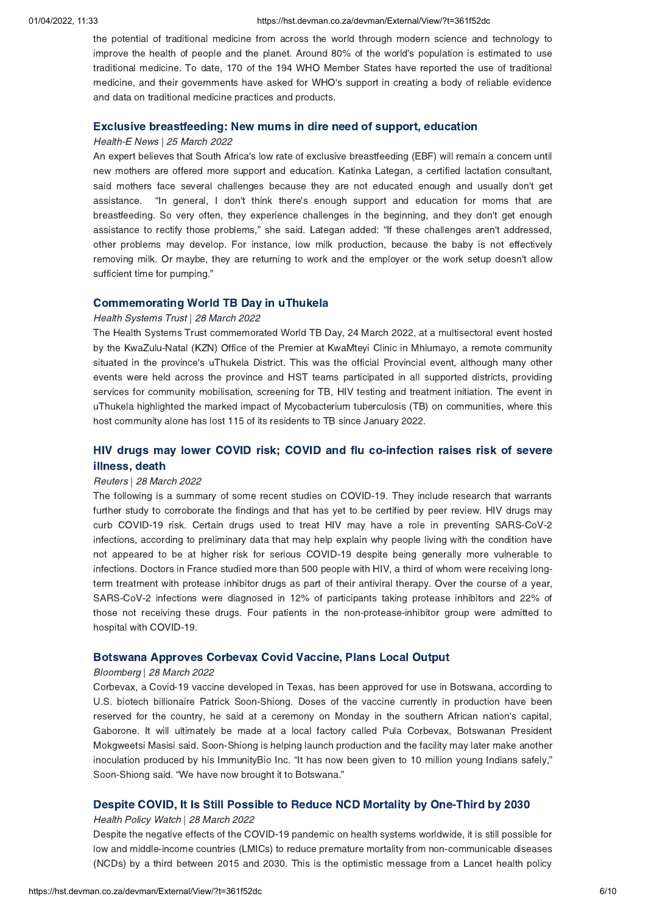the potential of traditional medicine from across the world through modern science and technology to improve the health of people and the planet. Around 80% of the world's population is estimated to use traditional medicine. To date, 170 of the 194 WHO Member States have reported the use of traditional medicine, and their governments have asked for WHO's support in creating a body of reliable evidence and data on traditional medicine practices and products.

### Exclusive [breastfeeding:](https://hst.devman.co.za/devman/external/?t=3f1f942d) New mums in dire need of support, education

#### Health-E News | 25 March 2022

An expert believes that South Africa's low rate of exclusive breastfeeding (EBF) will remain a concern until new mothers are offered more support and education. Katinka Lategan, a certified lactation consultant, said mothers face several challenges because they are not educated enough and usually don't get assistance. "In general, I don't think there's enough support and education for moms that are breastfeeding. So very often, they experience challenges in the beginning, and they don't get enough assistance to rectify those problems," she said. Lategan added: "If these challenges aren't addressed, other problems may develop. For instance, low milk production, because the baby is not effectively removing milk. Or maybe, they are returning to work and the employer or the work setup doesn't allow sufficient time for pumping."

#### [Commemorating](https://hst.devman.co.za/devman/external/?t=3ad9830e) World TB Day in uThukela

#### Health Systems Trust | 28 March 2022

The Health Systems Trust commemorated World TB Day, 24 March 2022, at a multisectoral event hosted by the KwaZulu-Natal (KZN) Office of the Premier at KwaMteyi Clinic in Mhlumayo, a remote community situated in the province's uThukela District. This was the official Provincial event, although many other events were held across the province and HST teams participated in all supported districts, providing services for community mobilisation, screening for TB, HIV testing and treatment initiation. The event in uThukela highlighted the marked impact of Mycobacterium tuberculosis (TB) on communities, where this host community alone has lost 115 of its residents to TB since January 2022.

# HIV drugs may lower COVID risk; COVID and flu [co-infection](https://hst.devman.co.za/devman/external/?t=adba3def) raises risk of severe illness, death

#### Reuters | 28 March 2022

The following is a summary of some recent studies on COVID-19. They include research that warrants further study to corroborate the findings and that has yet to be certified by peer review. HIV drugs may curb COVID-19 risk. Certain drugs used to treat HIV may have a role in preventing SARS-CoV-2 infections, according to preliminary data that may help explain why people living with the condition have not appeared to be at higher risk for serious COVID-19 despite being generally more vulnerable to infections. Doctors in France studied more than 500 people with HIV, a third of whom were receiving longterm treatment with protease inhibitor drugs as part of their antiviral therapy. Over the course of a year, SARS-CoV-2 infections were diagnosed in 12% of participants taking protease inhibitors and 22% of those not receiving these drugs. Four patients in the non-protease-inhibitor group were admitted to hospital with COVID-19.

## [Botswana](https://hst.devman.co.za/devman/external/?t=5229a3c0) Approves Corbevax Covid Vaccine, Plans Local Output

#### Bloomberg | 28 March 2022

Corbevax, a Covid-19 vaccine developed in Texas, has been approved for use in Botswana, according to U.S. biotech billionaire Patrick Soon-Shiong. Doses of the vaccine currently in production have been reserved for the country, he said at a ceremony on Monday in the southern African nation's capital, Gaborone. It will ultimately be made at a local factory called Pula Corbevax, Botswanan President Mokgweetsi Masisi said. Soon-Shiong is helping launch production and the facility may later make another inoculation produced by his ImmunityBio Inc. "It has now been given to 10 million young Indians safely," Soon-Shiong said. "We have now brought it to Botswana."

## Despite COVID, It Is Still Possible to Reduce NCD Mortality by [One-Third](https://hst.devman.co.za/devman/external/?t=c50a5fa1) by 2030

#### Health Policy Watch | 28 March 2022

Despite the negative effects of the COVID-19 pandemic on health systems worldwide, it is still possible for low and middle-income countries (LMICs) to reduce premature mortality from non-communicable diseases (NCDs) by a third between 2015 and 2030. This is the optimistic message from a Lancet health policy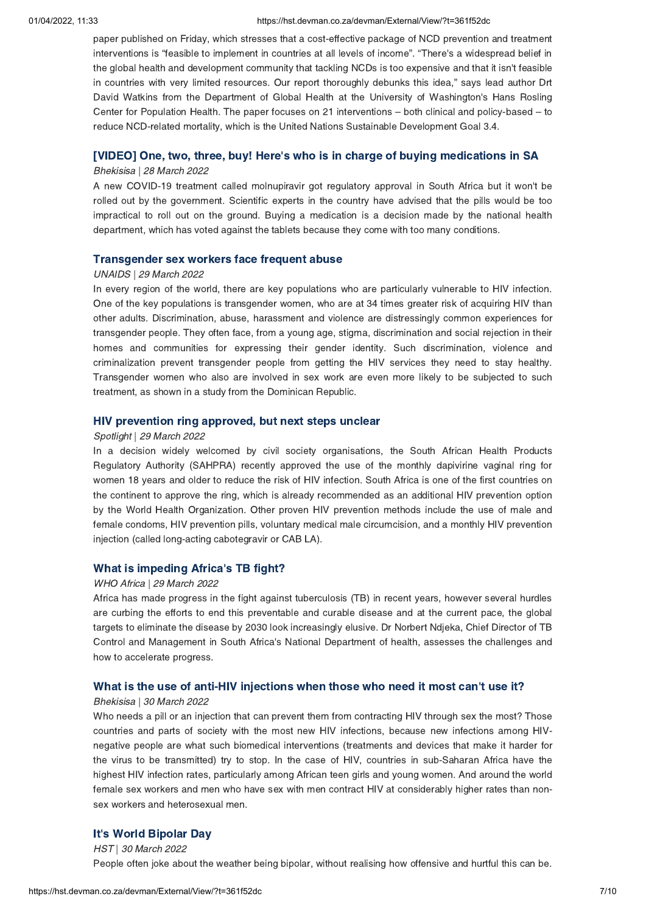#### 01/04/2022, 11:33 https://hst.devman.co.za/devman/External/View/?t=361f52dc

paper published on Friday, which stresses that a cost-effective package of NCD prevention and treatment interventions is "feasible to implement in countries at all levels of income". "There's a widespread belief in the global health and development community that tackling NCDs is too expensive and that it isn't feasible in countries with very limited resources. Our report thoroughly debunks this idea," says lead author Drt David Watkins from the Department of Global Health at the University of Washington's Hans Rosling Center for Population Health. The paper focuses on 21 interventions – both clinical and policy-based – to reduce NCD-related mortality, which is the United Nations Sustainable Development Goal 3.4.

# [VIDEO] One, two, three, buy! Here's who is in charge of buying [medications](https://hst.devman.co.za/devman/external/?t=26ca54d) in SA

## Bhekisisa | 28 March 2022

A new COVID-19 treatment called molnupiravir got regulatory approval in South Africa but it won't be rolled out by the government. Scientific experts in the country have advised that the pills would be too impractical to roll out on the ground. Buying a medication is a decision made by the national health department, which has voted against the tablets because they come with too many conditions.

## [Transgender](https://hst.devman.co.za/devman/external/?t=754d612e) sex workers face frequent abuse

## UNAIDS | 29 March 2022

In every region of the world, there are key populations who are particularly vulnerable to HIV infection. One of the key populations is transgender women, who are at 34 times greater risk of acquiring HIV than other adults. Discrimination, abuse, harassment and violence are distressingly common experiences for transgender people. They often face, from a young age, stigma, discrimination and social rejection in their homes and communities for expressing their gender identity. Such discrimination, violence and criminalization prevent transgender people from getting the HIV services they need to stay healthy. Transgender women who also are involved in sex work are even more likely to be subjected to such treatment, as shown in a study from the Dominican Republic.

## HIV [prevention](https://hst.devman.co.za/devman/external/?t=7107500f) ring approved, but next steps unclear

## Spotlight | 29 March 2022

In a decision widely welcomed by civil society organisations, the South African Health Products Regulatory Authority (SAHPRA) recently approved the use of the monthly dapivirine vaginal ring for women 18 years and older to reduce the risk of HIV infection. South Africa is one of the first countries on the continent to approve the ring, which is already recommended as an additional HIV prevention option by the World Health Organization. Other proven HIV prevention methods include the use of male and female condoms, HIV prevention pills, voluntary medical male circumcision, and a monthly HIV prevention injection (called long-acting cabotegravir or CAB LA).

## What is [impeding](https://hst.devman.co.za/devman/external/?t=e3e80af0) Africa's TB fight?

## WHO Africa | 29 March 2022

Africa has made progress in the fight against tuberculosis (TB) in recent years, however several hurdles are curbing the efforts to end this preventable and curable disease and at the current pace, the global targets to eliminate the disease by 2030 look increasingly elusive. Dr Norbert Ndjeka, Chief Director of TB Control and Management in South Africa's National Department of health, assesses the challenges and how to accelerate progress.

## What is the use of anti-HIV [injections](https://hst.devman.co.za/devman/external/?t=22e1f4d1) when those who need it most can't use it?

## Bhekisisa | 30 March 2022

Who needs a pill or an injection that can prevent them from contracting HIV through sex the most? Those countries and parts of society with the most new HIV infections, because new infections among HIVnegative people are what such biomedical interventions (treatments and devices that make it harder for the virus to be transmitted) try to stop. In the case of HIV, countries in sub-Saharan Africa have the highest HIV infection rates, particularly among African teen girls and young women. And around the world female sex workers and men who have sex with men contract HIV at considerably higher rates than nonsex workers and heterosexual men.

## It's World [Bipolar](https://hst.devman.co.za/devman/external/?t=95c2b0b2) Day

HST | 30 March 2022 People often joke about the weather being bipolar, without realising how offensive and hurtful this can be.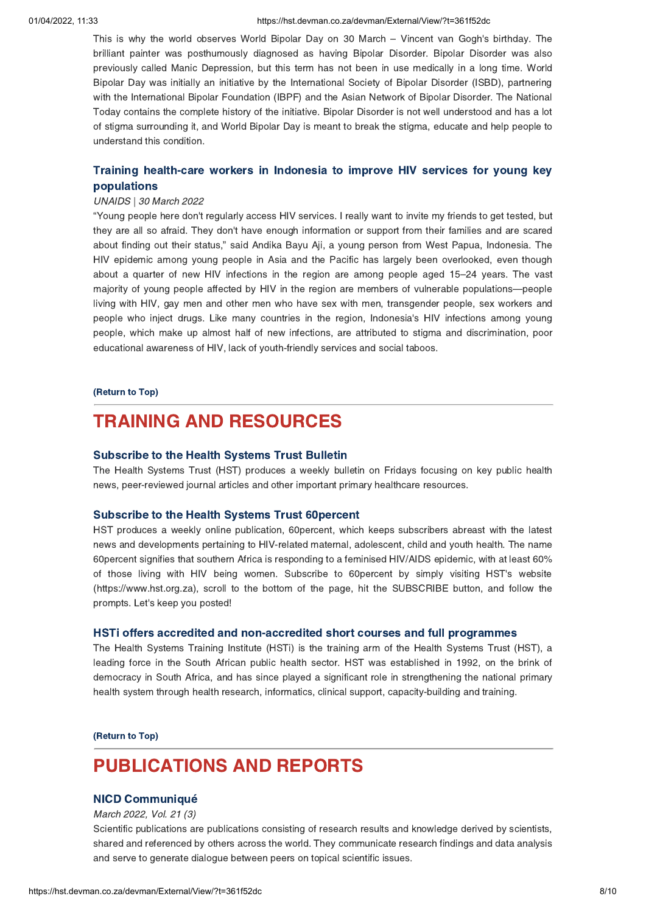#### 01/04/2022, 11:33 https://hst.devman.co.za/devman/External/View/?t=361f52dc

This is why the world observes World Bipolar Day on 30 March – Vincent van Gogh's birthday. The brilliant painter was posthumously diagnosed as having Bipolar Disorder. Bipolar Disorder was also previously called Manic Depression, but this term has not been in use medically in a long time. World Bipolar Day was initially an initiative by the International Society of Bipolar Disorder (ISBD), partnering with the International Bipolar Foundation (IBPF) and the Asian Network of Bipolar Disorder. The National Today contains the complete history of the initiative. Bipolar Disorder is not well understood and has a lot of stigma surrounding it, and World Bipolar Day is meant to break the stigma, educate and help people to understand this condition.

## Training health-care workers in Indonesia to improve HIV services for young key [populations](https://hst.devman.co.za/devman/external/?t=917c9f93)

#### UNAIDS | 30 March 2022

"Young people here don't regularly access HIV services. I really want to invite my friends to get tested, but they are all so afraid. They don't have enough information or support from their families and are scared about finding out their status," said Andika Bayu Aji, a young person from West Papua, Indonesia. The HIV epidemic among young people in Asia and the Pacific has largely been overlooked, even though about a quarter of new HIV infections in the region are among people aged 15–24 years. The vast majority of young people affected by HIV in the region are members of vulnerable populations—people living with HIV, gay men and other men who have sex with men, transgender people, sex workers and people who inject drugs. Like many countries in the region, Indonesia's HIV infections among young people, which make up almost half of new infections, are attributed to stigma and discrimination, poor educational awareness of HIV, lack of youth-friendly services and social taboos.

#### [\(Return](#page-0-1) to Top)

# <span id="page-7-0"></span>TRAINING AND RESOURCES

#### [Subscribe](https://hst.devman.co.za/devman/external/?t=45d5a74) to the Health Systems Trust Bulletin

The Health Systems Trust (HST) produces a weekly bulletin on Fridays focusing on key public health news, peer-reviewed journal articles and other important primary healthcare resources.

#### [Subscribe](https://hst.devman.co.za/devman/external/?t=45d5a74) to the Health Systems Trust 60percent

HST produces a weekly online publication, 60percent, which keeps subscribers abreast with the latest news and developments pertaining to HIV-related maternal, adolescent, child and youth health. The name 60percent signifies that southern Africa is responding to a feminised HIV/AIDS epidemic, with at least 60% of those living with HIV being women. Subscribe to 60percent by simply visiting HST's website (https://www.hst.org.za), scroll to the bottom of the page, hit the SUBSCRIBE button, and follow the prompts. Let's keep you posted!

### HSTi offers accredited and [non-accredited](https://hst.devman.co.za/devman/external/?t=a8ccc045) short courses and full programmes

The Health Systems Training Institute (HSTi) is the training arm of the Health Systems Trust (HST), a leading force in the South African public health sector. HST was established in 1992, on the brink of democracy in South Africa, and has since played a significant role in strengthening the national primary health system through health research, informatics, clinical support, capacity-building and training.

[\(Return](#page-0-1) to Top)

# PUBLICATIONS AND REPORTS

# NICD [Communiqué](https://hst.devman.co.za/devman/external/?t=1bad7c26)

March 2022, Vol. 21 (3)

Scientific publications are publications consisting of research results and knowledge derived by scientists, shared and referenced by others across the world. They communicate research findings and data analysis and serve to generate dialogue between peers on topical scientific issues.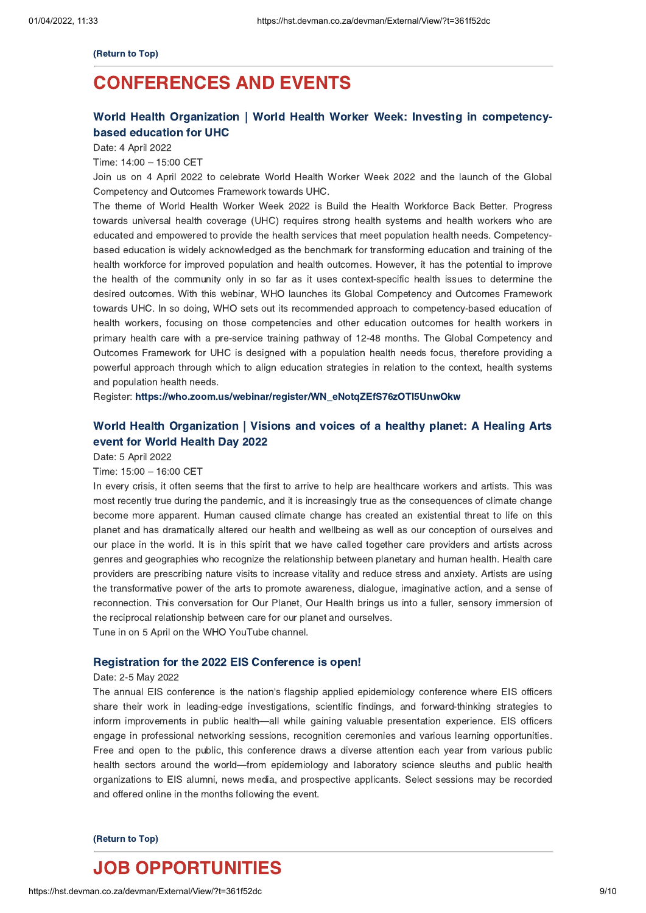#### [\(Return](#page-0-1) to Top)

# <span id="page-8-0"></span>CONFERENCES AND EVENTS

# World Health Organization | World Health Worker Week: Investing in [competency](https://hst.devman.co.za/devman/external/?t=1d924952)based education for UHC

Date: 4 April 2022

## Time: 14:00 – 15:00 CET

Join us on 4 April 2022 to celebrate World Health Worker Week 2022 and the launch of the Global Competency and Outcomes Framework towards UHC.

The theme of World Health Worker Week 2022 is Build the Health Workforce Back Better. Progress towards universal health coverage (UHC) requires strong health systems and health workers who are educated and empowered to provide the health services that meet population health needs. Competencybased education is widely acknowledged as the benchmark for transforming education and training of the health workforce for improved population and health outcomes. However, it has the potential to improve the health of the community only in so far as it uses context-specific health issues to determine the desired outcomes. With this webinar, WHO launches its Global Competency and Outcomes Framework towards UHC. In so doing, WHO sets out its recommended approach to competency-based education of health workers, focusing on those competencies and other education outcomes for health workers in primary health care with a pre-service training pathway of 12-48 months. The Global Competency and Outcomes Framework for UHC is designed with a population health needs focus, therefore providing a powerful approach through which to align education strategies in relation to the context, health systems and population health needs.

Register: [https://who.zoom.us/webinar/register/WN\\_eNotqZEfS76zOTl5UnwOkw](https://hst.devman.co.za/devman/external/?t=90730533)

# World Health [Organization](https://hst.devman.co.za/devman/external/?t=8c2cf414) | Visions and voices of a healthy planet: A Healing Arts event for World Health Day 2022

Date: 5 April 2022

Time: 15:00 – 16:00 CET

In every crisis, it often seems that the first to arrive to help are healthcare workers and artists. This was most recently true during the pandemic, and it is increasingly true as the consequences of climate change become more apparent. Human caused climate change has created an existential threat to life on this planet and has dramatically altered our health and wellbeing as well as our conception of ourselves and our place in the world. It is in this spirit that we have called together care providers and artists across genres and geographies who recognize the relationship between planetary and human health. Health care providers are prescribing nature visits to increase vitality and reduce stress and anxiety. Artists are using the transformative power of the arts to promote awareness, dialogue, imaginative action, and a sense of reconnection. This conversation for Our Planet, Our Health brings us into a fuller, sensory immersion of the reciprocal relationship between care for our planet and ourselves. Tune in on 5 April on the WHO YouTube channel.

### [Registration](https://hst.devman.co.za/devman/external/?t=ff0daef5) for the 2022 EIS Conference is open!

#### Date: 2-5 May 2022

The annual EIS conference is the nation's flagship applied epidemiology conference where EIS officers share their work in leading-edge investigations, scientific findings, and forward-thinking strategies to inform improvements in public health—all while gaining valuable presentation experience. EIS officers engage in professional networking sessions, recognition ceremonies and various learning opportunities. Free and open to the public, this conference draws a diverse attention each year from various public health sectors around the world—from epidemiology and laboratory science sleuths and public health organizations to EIS alumni, news media, and prospective applicants. Select sessions may be recorded and offered online in the months following the event.

#### [\(Return](#page-0-1) to Top)

# <span id="page-8-1"></span>JOB OPPORTUNITIES